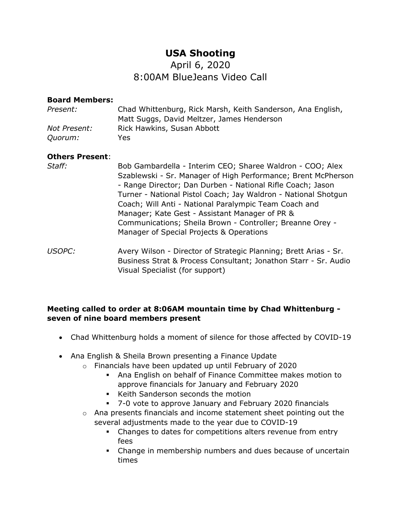# **USA Shooting**

## April 6, 2020 8:00AM BlueJeans Video Call

#### **Board Members:**

| Present:       | Chad Whittenburg, Rick Marsh, Keith Sanderson, Ana English, |
|----------------|-------------------------------------------------------------|
|                | Matt Suggs, David Meltzer, James Henderson                  |
| Not Present:   | Rick Hawkins, Susan Abbott                                  |
| <i>Ouorum:</i> | Yes.                                                        |

#### **Others Present**:

- *Staff:* Bob Gambardella Interim CEO; Sharee Waldron COO; Alex Szablewski - Sr. Manager of High Performance; Brent McPherson - Range Director; Dan Durben - National Rifle Coach; Jason Turner - National Pistol Coach; Jay Waldron - National Shotgun Coach; Will Anti - National Paralympic Team Coach and Manager; Kate Gest - Assistant Manager of PR & Communications; Sheila Brown - Controller; Breanne Orey - Manager of Special Projects & Operations
- *USOPC:* Avery Wilson Director of Strategic Planning; Brett Arias Sr. Business Strat & Process Consultant; Jonathon Starr - Sr. Audio Visual Specialist (for support)

#### **Meeting called to order at 8:06AM mountain time by Chad Whittenburg seven of nine board members present**

- Chad Whittenburg holds a moment of silence for those affected by COVID-19
- Ana English & Sheila Brown presenting a Finance Update
	- o Financials have been updated up until February of 2020
		- Ana English on behalf of Finance Committee makes motion to approve financials for January and February 2020
		- Keith Sanderson seconds the motion
		- 7-0 vote to approve January and February 2020 financials
	- o Ana presents financials and income statement sheet pointing out the several adjustments made to the year due to COVID-19
		- Changes to dates for competitions alters revenue from entry fees
		- Change in membership numbers and dues because of uncertain times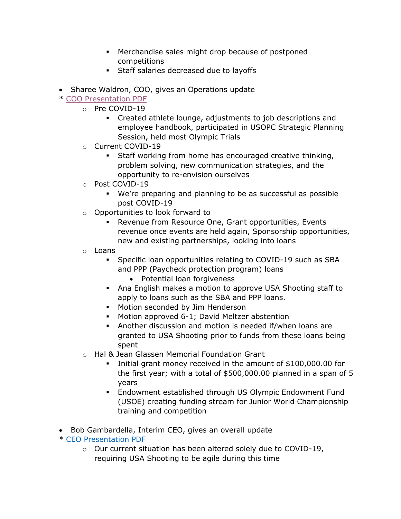- Merchandise sales might drop because of postponed competitions
- Staff salaries decreased due to layoffs
- Sharee Waldron, COO, gives an Operations update

## \* [COO Presentation PDF](https://www.usashooting.org/library/BOD_Meeting_-_COO_Presentation.pdf)

- o Pre COVID-19
	- Created athlete lounge, adjustments to job descriptions and employee handbook, participated in USOPC Strategic Planning Session, held most Olympic Trials
- o Current COVID-19
	- Staff working from home has encouraged creative thinking, problem solving, new communication strategies, and the opportunity to re-envision ourselves
- o Post COVID-19
	- We're preparing and planning to be as successful as possible post COVID-19
- o Opportunities to look forward to
	- Revenue from Resource One, Grant opportunities, Events revenue once events are held again, Sponsorship opportunities, new and existing partnerships, looking into loans
- o Loans
	- Specific loan opportunities relating to COVID-19 such as SBA and PPP (Paycheck protection program) loans
		- Potential loan forgiveness
	- Ana English makes a motion to approve USA Shooting staff to apply to loans such as the SBA and PPP loans.
	- Motion seconded by Jim Henderson
	- Motion approved 6-1; David Meltzer abstention
	- Another discussion and motion is needed if/when loans are granted to USA Shooting prior to funds from these loans being spent
- o Hal & Jean Glassen Memorial Foundation Grant
	- Initial grant money received in the amount of \$100,000.00 for the first year; with a total of \$500,000.00 planned in a span of 5 years
	- Endowment established through US Olympic Endowment Fund (USOE) creating funding stream for Junior World Championship training and competition
- Bob Gambardella, Interim CEO, gives an overall update
- \* [CEO Presentation PDF](https://www.usashooting.org/library/BOD_Meeting_-_CEO_Presentation.pdf)
	- o Our current situation has been altered solely due to COVID-19, requiring USA Shooting to be agile during this time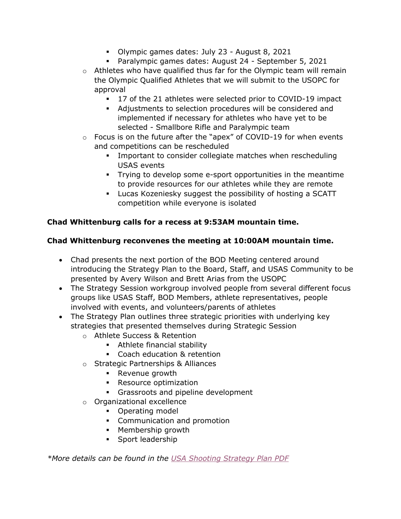- Olympic games dates: July 23 August 8, 2021
- Paralympic games dates: August 24 September 5, 2021
- $\circ$  Athletes who have qualified thus far for the Olympic team will remain the Olympic Qualified Athletes that we will submit to the USOPC for approval
	- 17 of the 21 athletes were selected prior to COVID-19 impact
	- Adjustments to selection procedures will be considered and implemented if necessary for athletes who have yet to be selected - Smallbore Rifle and Paralympic team
- o Focus is on the future after the "apex" of COVID-19 for when events and competitions can be rescheduled
	- **•** Important to consider collegiate matches when rescheduling USAS events
	- Trying to develop some e-sport opportunities in the meantime to provide resources for our athletes while they are remote
	- Lucas Kozeniesky suggest the possibility of hosting a SCATT competition while everyone is isolated

## **Chad Whittenburg calls for a recess at 9:53AM mountain time.**

## **Chad Whittenburg reconvenes the meeting at 10:00AM mountain time.**

- Chad presents the next portion of the BOD Meeting centered around introducing the Strategy Plan to the Board, Staff, and USAS Community to be presented by Avery Wilson and Brett Arias from the USOPC
- The Strategy Session workgroup involved people from several different focus groups like USAS Staff, BOD Members, athlete representatives, people involved with events, and volunteers/parents of athletes
- The Strategy Plan outlines three strategic priorities with underlying key strategies that presented themselves during Strategic Session
	- o Athlete Success & Retention
		- Athlete financial stability
		- Coach education & retention
	- o Strategic Partnerships & Alliances
		- Revenue growth
		- Resource optimization
		- **•** Grassroots and pipeline development
	- o Organizational excellence
		- Operating model
		- Communication and promotion
		- **•** Membership growth
		- Sport leadership

*\*More details can be found in the [USA Shooting Strategy Plan PDF](https://www.usashooting.org/library/USA_Shooting_Strategic_Plan.pdf)*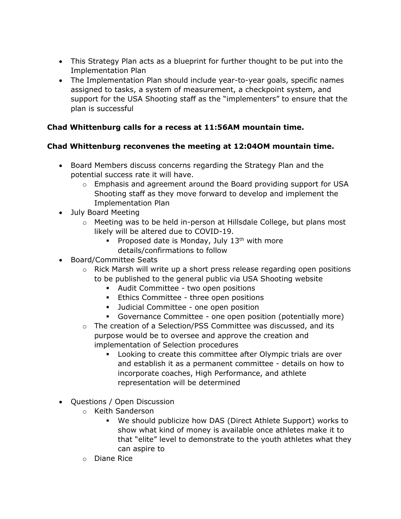- This Strategy Plan acts as a blueprint for further thought to be put into the Implementation Plan
- The Implementation Plan should include year-to-year goals, specific names assigned to tasks, a system of measurement, a checkpoint system, and support for the USA Shooting staff as the "implementers" to ensure that the plan is successful

## **Chad Whittenburg calls for a recess at 11:56AM mountain time.**

### **Chad Whittenburg reconvenes the meeting at 12:04OM mountain time.**

- Board Members discuss concerns regarding the Strategy Plan and the potential success rate it will have.
	- o Emphasis and agreement around the Board providing support for USA Shooting staff as they move forward to develop and implement the Implementation Plan
- July Board Meeting
	- o Meeting was to be held in-person at Hillsdale College, but plans most likely will be altered due to COVID-19.
		- **•** Proposed date is Monday, July  $13<sup>th</sup>$  with more details/confirmations to follow
- Board/Committee Seats
	- $\circ$  Rick Marsh will write up a short press release regarding open positions to be published to the general public via USA Shooting website
		- Audit Committee two open positions
		- **Ethics Committee three open positions**
		- Judicial Committee one open position
		- Governance Committee one open position (potentially more)
	- $\circ$  The creation of a Selection/PSS Committee was discussed, and its purpose would be to oversee and approve the creation and implementation of Selection procedures
		- Looking to create this committee after Olympic trials are over and establish it as a permanent committee - details on how to incorporate coaches, High Performance, and athlete representation will be determined
- Questions / Open Discussion
	- o Keith Sanderson
		- We should publicize how DAS (Direct Athlete Support) works to show what kind of money is available once athletes make it to that "elite" level to demonstrate to the youth athletes what they can aspire to
	- o Diane Rice